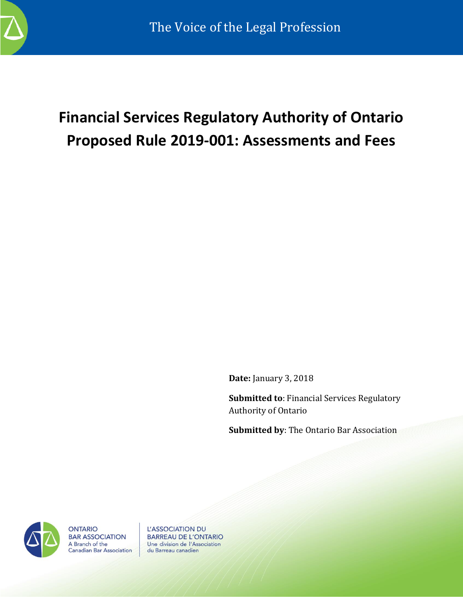

# **Financial Services Regulatory Authority of Ontario Proposed Rule 2019-001: Assessments and Fees**

**Date:** January 3, 2018

**Submitted to**: Financial Services Regulatory Authority of Ontario

**Submitted by**: The Ontario Bar Association



**ONTARIO BAR ASSOCIATION** A Branch of the **Canadian Bar Association**  L'ASSOCIATION DU **BARREAU DE L'ONTARIO** Une division de l'Association du Barreau canadien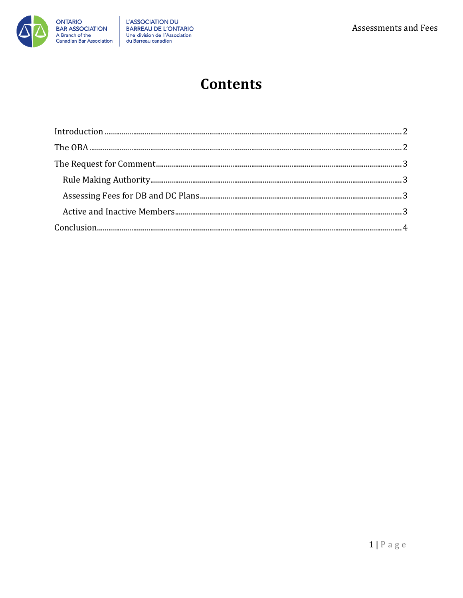

### **Contents**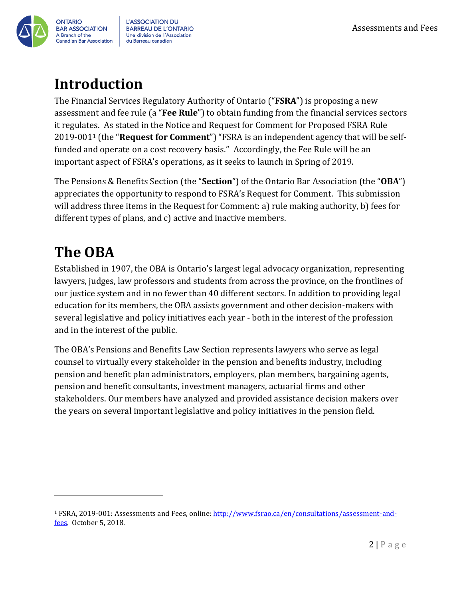

**L'ASSOCIATION DU BARREAU DE L'ONTARIO** Une division de l'Association du Barreau canadien

### <span id="page-2-0"></span>**Introduction**

The Financial Services Regulatory Authority of Ontario ("**FSRA**") is proposing a new assessment and fee rule (a "**Fee Rule**") to obtain funding from the financial services sectors it regulates. As stated in the Notice and Request for Comment for Proposed FSRA Rule 2019-001<sup>1</sup> (the "**Request for Comment**") "FSRA is an independent agency that will be selffunded and operate on a cost recovery basis." Accordingly, the Fee Rule will be an important aspect of FSRA's operations, as it seeks to launch in Spring of 2019.

The Pensions & Benefits Section (the "**Section**") of the Ontario Bar Association (the "**OBA**") appreciates the opportunity to respond to FSRA's Request for Comment. This submission will address three items in the Request for Comment: a) rule making authority, b) fees for different types of plans, and c) active and inactive members.

## <span id="page-2-1"></span>**The OBA**

 $\overline{a}$ 

Established in 1907, the OBA is Ontario's largest legal advocacy organization, representing lawyers, judges, law professors and students from across the province, on the frontlines of our justice system and in no fewer than 40 different sectors. In addition to providing legal education for its members, the OBA assists government and other decision-makers with several legislative and policy initiatives each year - both in the interest of the profession and in the interest of the public.

The OBA's Pensions and Benefits Law Section represents lawyers who serve as legal counsel to virtually every stakeholder in the pension and benefits industry, including pension and benefit plan administrators, employers, plan members, bargaining agents, pension and benefit consultants, investment managers, actuarial firms and other stakeholders. Our members have analyzed and provided assistance decision makers over the years on several important legislative and policy initiatives in the pension field.

<sup>1</sup> FSRA, 2019-001: Assessments and Fees, online: [http://www.fsrao.ca/en/consultations/assessment-and](http://www.fsrao.ca/en/consultations/assessment-and-fees)[fees.](http://www.fsrao.ca/en/consultations/assessment-and-fees) October 5, 2018.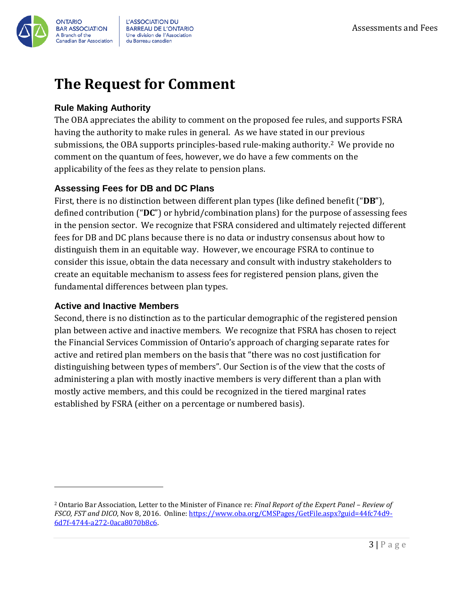

L'ASSOCIATION DU **BARREAU DE L'ONTARIO** Une division de l'Association du Barreau canadien

### <span id="page-3-0"></span>**The Request for Comment**

#### <span id="page-3-1"></span>**Rule Making Authority**

The OBA appreciates the ability to comment on the proposed fee rules, and supports FSRA having the authority to make rules in general. As we have stated in our previous submissions, the OBA supports principles-based rule-making authority.2 We provide no comment on the quantum of fees, however, we do have a few comments on the applicability of the fees as they relate to pension plans.

#### <span id="page-3-2"></span>**Assessing Fees for DB and DC Plans**

First, there is no distinction between different plan types (like defined benefit ("**DB**"), defined contribution ("**DC**") or hybrid/combination plans) for the purpose of assessing fees in the pension sector. We recognize that FSRA considered and ultimately rejected different fees for DB and DC plans because there is no data or industry consensus about how to distinguish them in an equitable way. However, we encourage FSRA to continue to consider this issue, obtain the data necessary and consult with industry stakeholders to create an equitable mechanism to assess fees for registered pension plans, given the fundamental differences between plan types.

#### <span id="page-3-3"></span>**Active and Inactive Members**

 $\overline{a}$ 

Second, there is no distinction as to the particular demographic of the registered pension plan between active and inactive members. We recognize that FSRA has chosen to reject the Financial Services Commission of Ontario's approach of charging separate rates for active and retired plan members on the basis that "there was no cost justification for distinguishing between types of members". Our Section is of the view that the costs of administering a plan with mostly inactive members is very different than a plan with mostly active members, and this could be recognized in the tiered marginal rates established by FSRA (either on a percentage or numbered basis).

<sup>2</sup> Ontario Bar Association, Letter to the Minister of Finance re: *Final Report of the Expert Panel – Review of FSCO, FST and DICO*, Nov 8, 2016. Online: [https://www.oba.org/CMSPages/GetFile.aspx?guid=44fc74d9-](https://www.oba.org/CMSPages/GetFile.aspx?guid=44fc74d9-6d7f-4744-a272-0aca8070b8c6) [6d7f-4744-a272-0aca8070b8c6.](https://www.oba.org/CMSPages/GetFile.aspx?guid=44fc74d9-6d7f-4744-a272-0aca8070b8c6)